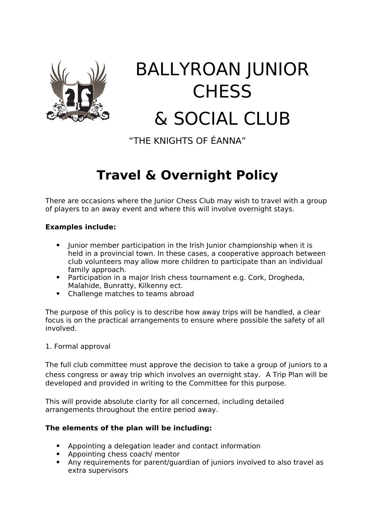

# BALLYROAN JUNIOR **CHESS** & SOCIAL CLUB

"THE KNIGHTS OF ÉANNA"

# **Travel & Overnight Policy**

There are occasions where the Junior Chess Club may wish to travel with a group of players to an away event and where this will involve overnight stays.

# **Examples include:**

- Iunior member participation in the Irish Iunior championship when it is held in a provincial town. In these cases, a cooperative approach between club volunteers may allow more children to participate than an individual family approach.
- Participation in a major Irish chess tournament e.g. Cork, Drogheda, Malahide, Bunratty, Kilkenny ect.
- Challenge matches to teams abroad

The purpose of this policy is to describe how away trips will be handled, a clear focus is on the practical arrangements to ensure where possible the safety of all involved.

#### 1. Formal approval

The full club committee must approve the decision to take a group of juniors to a chess congress or away trip which involves an overnight stay. A Trip Plan will be developed and provided in writing to the Committee for this purpose.

This will provide absolute clarity for all concerned, including detailed arrangements throughout the entire period away.

### **The elements of the plan will be including:**

- Appointing a delegation leader and contact information
- Appointing chess coach/ mentor
- Any requirements for parent/guardian of juniors involved to also travel as extra supervisors